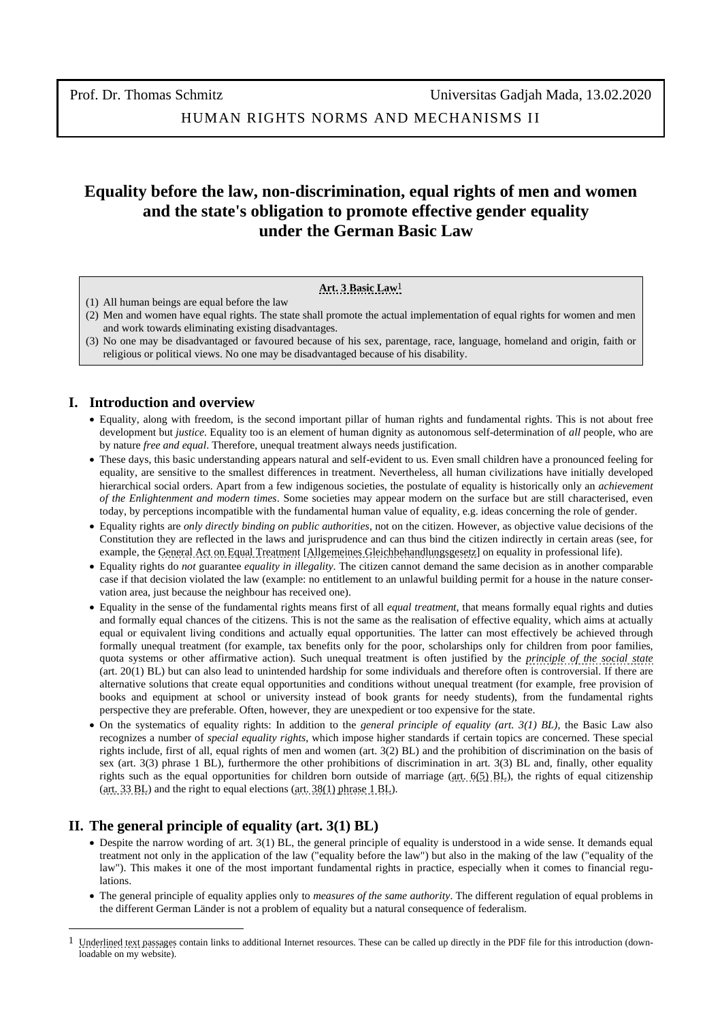HUMAN RIGHTS NORMS AND MECHANISMS II

# **Equality before the law, non-discrimination, equal rights of men and women and the state's obligation to promote effective gender equality under the German Basic Law**

#### **[Art.](https://www.gesetze-im-internet.de/gg/art_4.html) 3 [Basic](https://www.gesetze-im-internet.de/gg/BJNR000010949.html) Law**1

- (1) All human beings are equal before the law
- (2) Men and women have equal rights. The state shall promote the actual implementation of equal rights for women and men and work towards eliminating existing disadvantages.
- (3) No one may be disadvantaged or favoured because of his sex, parentage, race, language, homeland and origin, faith or religious or political views. No one may be disadvantaged because of his disability.

### **I. Introduction and overview**

- Equality, along with freedom, is the second important pillar of human rights and fundamental rights. This is not about free development but *justice*. Equality too is an element of human dignity as autonomous self-determination of *all* people, who are by nature *free and equal*. Therefore, unequal treatment always needs justification.
- These days, this basic understanding appears natural and self-evident to us. Even small children have a pronounced feeling for equality, are sensitive to the smallest differences in treatment. Nevertheless, all human civilizations have initially developed hierarchical social orders. Apart from a few indigenous societies, the postulate of equality is historically only an *achievement of the Enlightenment and modern times*. Some societies may appear modern on the surface but are still characterised, even today, by perceptions incompatible with the fundamental human value of equality, e.g. ideas concerning the role of gender.
- Equality rights are *only directly binding on public authorities*, not on the citizen. However, as objective value decisions of the Constitution they are reflected in the laws and jurisprudence and can thus bind the citizen indirectly in certain areas (see, for example, the General Act [on Equal Treatment](https://www.gesetze-im-internet.de/englisch_agg/index.html) [\[Allgemeines Gleichbehandlungsgesetz\]](https://www.gesetze-im-internet.de/agg/BJNR189710006.html) on equality in professional life).
- Equality rights do *not* guarantee *equality in illegality*. The citizen cannot demand the same decision as in another comparable case if that decision violated the law (example: no entitlement to an unlawful building permit for a house in the nature conservation area, just because the neighbour has received one).
- Equality in the sense of the fundamental rights means first of all *equal treatment*, that means formally equal rights and duties and formally equal chances of the citizens. This is not the same as the realisation of effective equality, which aims at actually equal or equivalent living conditions and actually equal opportunities. The latter can most effectively be achieved through formally unequal treatment (for example, tax benefits only for the poor, scholarships only for children from poor families, quota systems or other affirmative action). Such unequal treatment is often justified by the *[principle of the social state](https://www.e-publica.pt/volumes/v1n3/pdf/Vol.1-Nº3-Art.03.pdf)* (art. 20(1) BL) but can also lead to unintended hardship for some individuals and therefore often is controversial. If there are alternative solutions that create equal opportunities and conditions without unequal treatment (for example, free provision of books and equipment at school or university instead of book grants for needy students), from the fundamental rights perspective they are preferable. Often, however, they are unexpedient or too expensive for the state.
- On the systematics of equality rights: In addition to the *general principle of equality (art. 3(1) BL)*, the Basic Law also recognizes a number of *special equality rights*, which impose higher standards if certain topics are concerned. These special rights include, first of all, equal rights of men and women (art. 3(2) BL) and the prohibition of discrimination on the basis of sex (art. 3(3) phrase 1 BL), furthermore the other prohibitions of discrimination in art. 3(3) BL and, finally, other equality rights such as the equal opportunities for children born outside of marriage ( $art. 6(5)$  BL), the rights of equal citizenship (art. [33 BL\)](https://www.gesetze-im-internet.de/englisch_gg/englisch_gg.html#p0170) and the right to equal elections [\(art. 38\(1\) phrase 1 BL\)](https://www.gesetze-im-internet.de/englisch_gg/englisch_gg.html#p0189).

## **II. The general principle of equality (art. 3(1) BL)**

- Despite the narrow wording of art. 3(1) BL, the general principle of equality is understood in a wide sense. It demands equal treatment not only in the application of the law ("equality before the law") but also in the making of the law ("equality of the law"). This makes it one of the most important fundamental rights in practice, especially when it comes to financial regulations.
- The general principle of equality applies only to *measures of the same authority*. The different regulation of equal problems in the different German Länder is not a problem of equality but a natural consequence of federalism.

<sup>1</sup> Underlined text passages contain links to additional Internet resources. These can be called up directly in the PDF file for this introduction (downloadable on my website).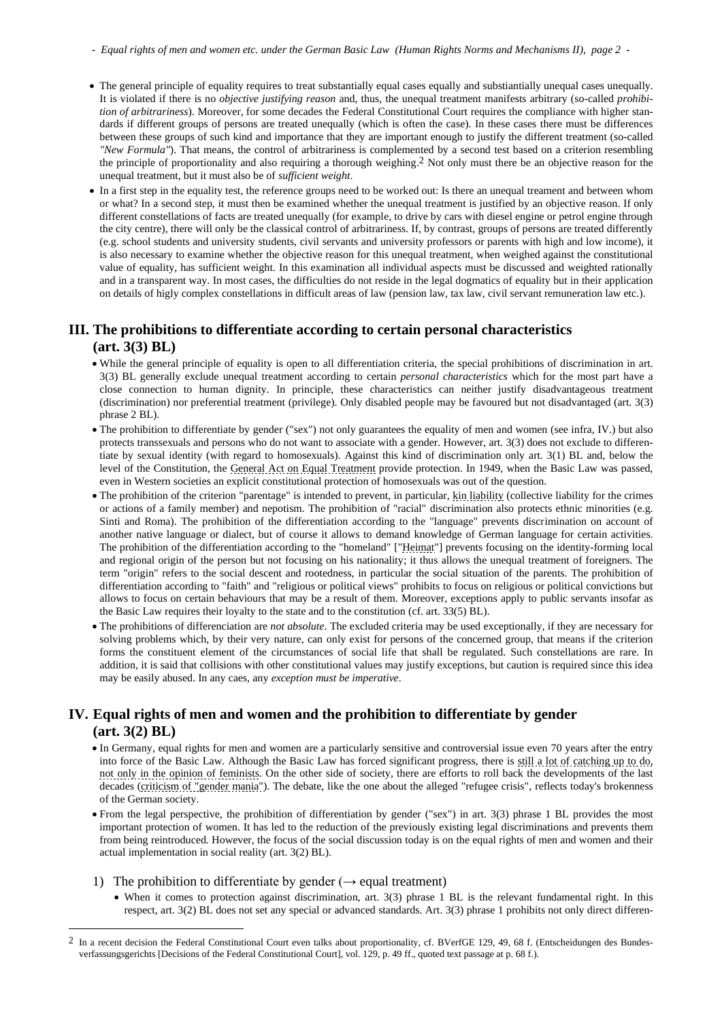- *Equal rights of men and women etc. under the German Basic Law (Human Rights Norms and Mechanisms II), page 2 -*
- The general principle of equality requires to treat substantially equal cases equally and substiantially unequal cases unequally. It is violated if there is no *objective justifying reason* and, thus, the unequal treatment manifests arbitrary (so-called *prohibition of arbitrariness*). Moreover, for some decades the Federal Constitutional Court requires the compliance with higher standards if different groups of persons are treated unequally (which is often the case). In these cases there must be differences between these groups of such kind and importance that they are important enough to justify the different treatment (so-called *"New Formula"*). That means, the control of arbitrariness is complemented by a second test based on a criterion resembling the principle of proportionality and also requiring a thorough weighing.<sup>2</sup> Not only must there be an objective reason for the unequal treatment, but it must also be of *sufficient weight*.
- In a first step in the equality test, the reference groups need to be worked out: Is there an unequal treament and between whom or what? In a second step, it must then be examined whether the unequal treatment is justified by an objective reason. If only different constellations of facts are treated unequally (for example, to drive by cars with diesel engine or petrol engine through the city centre), there will only be the classical control of arbitrariness. If, by contrast, groups of persons are treated differently (e.g. school students and university students, civil servants and university professors or parents with high and low income), it is also necessary to examine whether the objective reason for this unequal treatment, when weighed against the constitutional value of equality, has sufficient weight. In this examination all individual aspects must be discussed and weighted rationally and in a transparent way. In most cases, the difficulties do not reside in the legal dogmatics of equality but in their application on details of higly complex constellations in difficult areas of law (pension law, tax law, civil servant remuneration law etc.).

# **III. The prohibitions to differentiate according to certain personal characteristics (art. 3(3) BL)**

- While the general principle of equality is open to all differentiation criteria, the special prohibitions of discrimination in art. 3(3) BL generally exclude unequal treatment according to certain *personal characteristics* which for the most part have a close connection to human dignity. In principle, these characteristics can neither justify disadvantageous treatment (discrimination) nor preferential treatment (privilege). Only disabled people may be favoured but not disadvantaged (art. 3(3) phrase 2 BL).
- The prohibition to differentiate by gender ("sex") not only guarantees the equality of men and women (see infra, IV.) but also protects transsexuals and persons who do not want to associate with a gender. However, art. 3(3) does not exclude to differentiate by sexual identity (with regard to homosexuals). Against this kind of discrimination only art. 3(1) BL and, below the level of the Constitution, the [General Act on Equal Treatment](https://www.gesetze-im-internet.de/englisch_agg/index.html) provide protection. In 1949, when the Basic Law was passed, even in Western societies an explicit constitutional protection of homosexuals was out of the question.
- The prohibition of the criterion "parentage" is intended to prevent, in particular, kin [liability](https://www.palgrave.com/br/book/9780230343054) (collective liability for the crimes or actions of a family member) and nepotism. The prohibition of "racial" discrimination also protects ethnic minorities (e.g. Sinti and Roma). The prohibition of the differentiation according to the "language" prevents discrimination on account of another native language or dialect, but of course it allows to demand knowledge of German language for certain activities. The prohibition of the differentiation according to the "homeland" [["Heimat"](https://blogs.transparent.com/german/the-german-heimat/)] prevents focusing on the identity-forming local and regional origin of the person but not focusing on his nationality; it thus allows the unequal treatment of foreigners. The term "origin" refers to the social descent and rootedness, in particular the social situation of the parents. The prohibition of differentiation according to "faith" and "religious or political views" prohibits to focus on religious or political convictions but allows to focus on certain behaviours that may be a result of them. Moreover, exceptions apply to public servants insofar as the Basic Law requires their loyalty to the state and to the constitution (cf. art. 33(5) BL).
- The prohibitions of differenciation are *not absolute*. The excluded criteria may be used exceptionally, if they are necessary for solving problems which, by their very nature, can only exist for persons of the concerned group, that means if the criterion forms the constituent element of the circumstances of social life that shall be regulated. Such constellations are rare. In addition, it is said that collisions with other constitutional values may justify exceptions, but caution is required since this idea may be easily abused. In any caes, any *exception must be imperative*.

## **IV. Equal rights of men and women and the prohibition to differentiate by gender (art. 3(2) BL)**

- In Germany, equal rights for men and women are a particularly sensitive and controversial issue even 70 years after the entry into force of the Basic Law. Although the Basic Law has forced significant progress, there is still a lot of catching up to do, not [only in the opinion of feminists.](https://www.thelocal.de/20180308/what-you-need-to-know-about-womens-rights-in-germany) On the other side of society, there are efforts to roll back the developments of the last decades [\(criticism of "gender mania"\)](https://www.freiewelt.net/interview/der-gender-wahn-muss-beendet-werden-10055431/). The debate, like the one about the alleged "refugee crisis", reflects today's brokenness of the German society.
- From the legal perspective, the prohibition of differentiation by gender ("sex") in art. 3(3) phrase 1 BL provides the most important protection of women. It has led to the reduction of the previously existing legal discriminations and prevents them from being reintroduced. However, the focus of the social discussion today is on the equal rights of men and women and their actual implementation in social reality (art. 3(2) BL).
- 1) The prohibition to differentiate by gender ( $\rightarrow$  equal treatment)
	- When it comes to protection against discrimination, art. 3(3) phrase 1 BL is the relevant fundamental right. In this respect, art. 3(2) BL does not set any special or advanced standards. Art. 3(3) phrase 1 prohibits not only direct differen-

<sup>2</sup> In a recent decision the Federal Constitutional Court even talks about proportionality, cf. BVerfGE 129, 49, 68 f. (Entscheidungen des Bundesverfassungsgerichts [Decisions of the Federal Constitutional Court], vol. 129, p. 49 ff., quoted text passage at p. 68 f.).